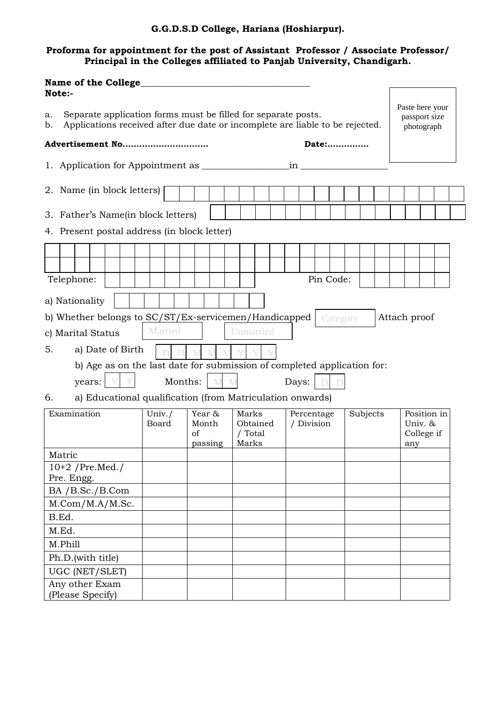## **G.G.D.S.D College, Hariana (Hoshiarpur).**

### **Proforma for appointment for the post of Assistant Professor / Associate Professor/ Principal in the Colleges affiliated to Panjab University, Chandigarh.**

| <b>Name of the College</b><br>Note:-                                                                                                                       |                                                                         |  |  |                 |                                                           |                                  |  |  |                                                |  |  |                          |  |  |           |          |  |  |  |                                             |  |  |  |  |
|------------------------------------------------------------------------------------------------------------------------------------------------------------|-------------------------------------------------------------------------|--|--|-----------------|-----------------------------------------------------------|----------------------------------|--|--|------------------------------------------------|--|--|--------------------------|--|--|-----------|----------|--|--|--|---------------------------------------------|--|--|--|--|
| Separate application forms must be filled for separate posts.<br>a.<br>Applications received after due date or incomplete are liable to be rejected.<br>b. |                                                                         |  |  |                 |                                                           |                                  |  |  | Paste here your<br>passport size<br>photograph |  |  |                          |  |  |           |          |  |  |  |                                             |  |  |  |  |
| Advertisement No<br>Date:                                                                                                                                  |                                                                         |  |  |                 |                                                           |                                  |  |  |                                                |  |  |                          |  |  |           |          |  |  |  |                                             |  |  |  |  |
| $in_$                                                                                                                                                      |                                                                         |  |  |                 |                                                           |                                  |  |  |                                                |  |  |                          |  |  |           |          |  |  |  |                                             |  |  |  |  |
| 2. Name (in block letters)                                                                                                                                 |                                                                         |  |  |                 |                                                           |                                  |  |  |                                                |  |  |                          |  |  |           |          |  |  |  |                                             |  |  |  |  |
| 3. Father's Name(in block letters)<br>4. Present postal address (in block letter)                                                                          |                                                                         |  |  |                 |                                                           |                                  |  |  |                                                |  |  |                          |  |  |           |          |  |  |  |                                             |  |  |  |  |
|                                                                                                                                                            |                                                                         |  |  |                 |                                                           |                                  |  |  |                                                |  |  |                          |  |  |           |          |  |  |  |                                             |  |  |  |  |
|                                                                                                                                                            |                                                                         |  |  |                 |                                                           |                                  |  |  |                                                |  |  |                          |  |  |           |          |  |  |  |                                             |  |  |  |  |
| Telephone:                                                                                                                                                 |                                                                         |  |  |                 |                                                           |                                  |  |  |                                                |  |  |                          |  |  | Pin Code: |          |  |  |  |                                             |  |  |  |  |
| a) Nationality                                                                                                                                             |                                                                         |  |  |                 |                                                           |                                  |  |  |                                                |  |  |                          |  |  |           |          |  |  |  |                                             |  |  |  |  |
| b) Whether belongs to SC/ST/Ex-servicemen/Handicapped<br>Attach proof<br>Category                                                                          |                                                                         |  |  |                 |                                                           |                                  |  |  |                                                |  |  |                          |  |  |           |          |  |  |  |                                             |  |  |  |  |
|                                                                                                                                                            | Married<br>Unmarried<br>c) Marital Status                               |  |  |                 |                                                           |                                  |  |  |                                                |  |  |                          |  |  |           |          |  |  |  |                                             |  |  |  |  |
| a) Date of Birth<br>5.                                                                                                                                     |                                                                         |  |  |                 |                                                           |                                  |  |  |                                                |  |  |                          |  |  |           |          |  |  |  |                                             |  |  |  |  |
|                                                                                                                                                            | b) Age as on the last date for submission of completed application for: |  |  |                 |                                                           |                                  |  |  |                                                |  |  |                          |  |  |           |          |  |  |  |                                             |  |  |  |  |
|                                                                                                                                                            | Months:<br>years:<br>Days:                                              |  |  |                 |                                                           |                                  |  |  |                                                |  |  |                          |  |  |           |          |  |  |  |                                             |  |  |  |  |
| 6.                                                                                                                                                         |                                                                         |  |  |                 | a) Educational qualification (from Matriculation onwards) |                                  |  |  |                                                |  |  |                          |  |  |           |          |  |  |  |                                             |  |  |  |  |
| Examination                                                                                                                                                |                                                                         |  |  | Univ./<br>Board |                                                           | Year &<br>Month<br>of<br>passing |  |  | Marks<br>Obtained<br>/ Total<br>Marks          |  |  | Percentage<br>/ Division |  |  |           | Subjects |  |  |  | Position in<br>Univ. &<br>College if<br>any |  |  |  |  |
| Matric                                                                                                                                                     |                                                                         |  |  |                 |                                                           |                                  |  |  |                                                |  |  |                          |  |  |           |          |  |  |  |                                             |  |  |  |  |
| $10+2$ /Pre.Med./<br>Pre. Engg.                                                                                                                            |                                                                         |  |  |                 |                                                           |                                  |  |  |                                                |  |  |                          |  |  |           |          |  |  |  |                                             |  |  |  |  |
| BA / B.Sc./ B.Com                                                                                                                                          |                                                                         |  |  |                 |                                                           |                                  |  |  |                                                |  |  |                          |  |  |           |          |  |  |  |                                             |  |  |  |  |
| M. Com/M.A/M.Sc.                                                                                                                                           |                                                                         |  |  |                 |                                                           |                                  |  |  |                                                |  |  |                          |  |  |           |          |  |  |  |                                             |  |  |  |  |
| B.Ed.                                                                                                                                                      |                                                                         |  |  |                 |                                                           |                                  |  |  |                                                |  |  |                          |  |  |           |          |  |  |  |                                             |  |  |  |  |
| M.Ed.                                                                                                                                                      |                                                                         |  |  |                 |                                                           |                                  |  |  |                                                |  |  |                          |  |  |           |          |  |  |  |                                             |  |  |  |  |
| M.Phill                                                                                                                                                    |                                                                         |  |  |                 |                                                           |                                  |  |  |                                                |  |  |                          |  |  |           |          |  |  |  |                                             |  |  |  |  |
| Ph.D.(with title)                                                                                                                                          |                                                                         |  |  |                 |                                                           |                                  |  |  |                                                |  |  |                          |  |  |           |          |  |  |  |                                             |  |  |  |  |
|                                                                                                                                                            | UGC (NET/SLET)                                                          |  |  |                 |                                                           |                                  |  |  |                                                |  |  |                          |  |  |           |          |  |  |  |                                             |  |  |  |  |
| Any other Exam<br>(Please Specify)                                                                                                                         |                                                                         |  |  |                 |                                                           |                                  |  |  |                                                |  |  |                          |  |  |           |          |  |  |  |                                             |  |  |  |  |